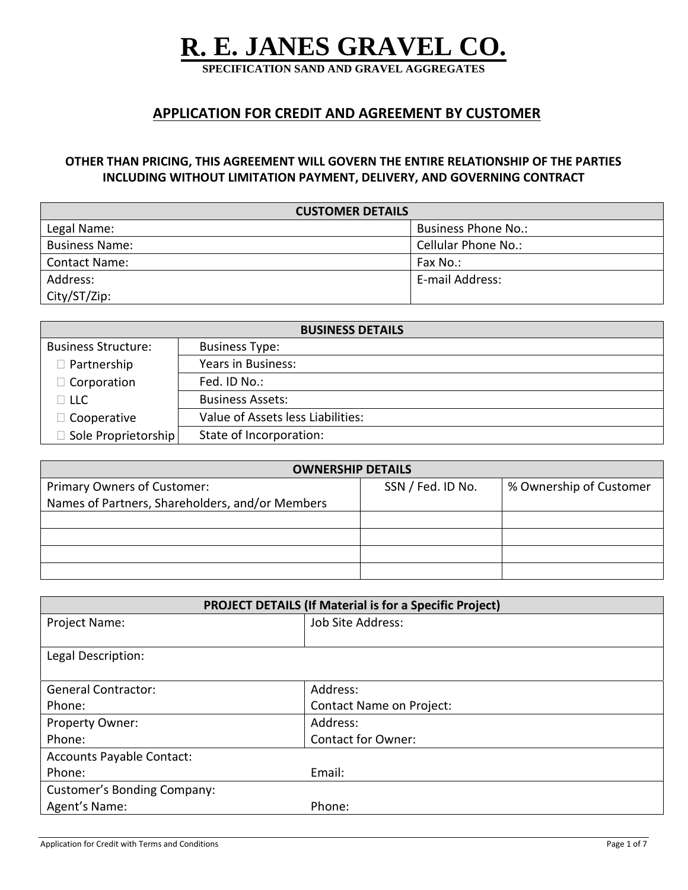# **R. E. JANES GRAVEL CO.**

**SPECIFICATION SAND AND GRAVEL AGGREGATES**

# **APPLICATION FOR CREDIT AND AGREEMENT BY CUSTOMER**

## **OTHER THAN PRICING, THIS AGREEMENT WILL GOVERN THE ENTIRE RELATIONSHIP OF THE PARTIES INCLUDING WITHOUT LIMITATION PAYMENT, DELIVERY, AND GOVERNING CONTRACT**

| <b>CUSTOMER DETAILS</b> |                            |  |  |
|-------------------------|----------------------------|--|--|
| Legal Name:             | <b>Business Phone No.:</b> |  |  |
| <b>Business Name:</b>   | Cellular Phone No.:        |  |  |
| <b>Contact Name:</b>    | Fax No.:                   |  |  |
| Address:                | E-mail Address:            |  |  |
| City/ST/Zip:            |                            |  |  |

| <b>BUSINESS DETAILS</b>    |                                   |  |  |
|----------------------------|-----------------------------------|--|--|
| <b>Business Structure:</b> | <b>Business Type:</b>             |  |  |
| $\Box$ Partnership         | Years in Business:                |  |  |
| $\Box$ Corporation         | Fed. ID No.:                      |  |  |
| $\Box$ llc                 | <b>Business Assets:</b>           |  |  |
| $\Box$ Cooperative         | Value of Assets less Liabilities: |  |  |
| $\Box$ Sole Proprietorship | State of Incorporation:           |  |  |

| <b>OWNERSHIP DETAILS</b>                        |                   |                         |  |  |
|-------------------------------------------------|-------------------|-------------------------|--|--|
| Primary Owners of Customer:                     | SSN / Fed. ID No. | % Ownership of Customer |  |  |
| Names of Partners, Shareholders, and/or Members |                   |                         |  |  |
|                                                 |                   |                         |  |  |
|                                                 |                   |                         |  |  |
|                                                 |                   |                         |  |  |
|                                                 |                   |                         |  |  |

| <b>PROJECT DETAILS (If Material is for a Specific Project)</b> |                                 |  |  |
|----------------------------------------------------------------|---------------------------------|--|--|
| Project Name:                                                  | Job Site Address:               |  |  |
|                                                                |                                 |  |  |
| Legal Description:                                             |                                 |  |  |
|                                                                |                                 |  |  |
| <b>General Contractor:</b>                                     | Address:                        |  |  |
| Phone:                                                         | <b>Contact Name on Project:</b> |  |  |
| Property Owner:                                                | Address:                        |  |  |
| Phone:                                                         | <b>Contact for Owner:</b>       |  |  |
| Accounts Payable Contact:                                      |                                 |  |  |
| Phone:                                                         | Email:                          |  |  |
| <b>Customer's Bonding Company:</b>                             |                                 |  |  |
| Agent's Name:                                                  | Phone:                          |  |  |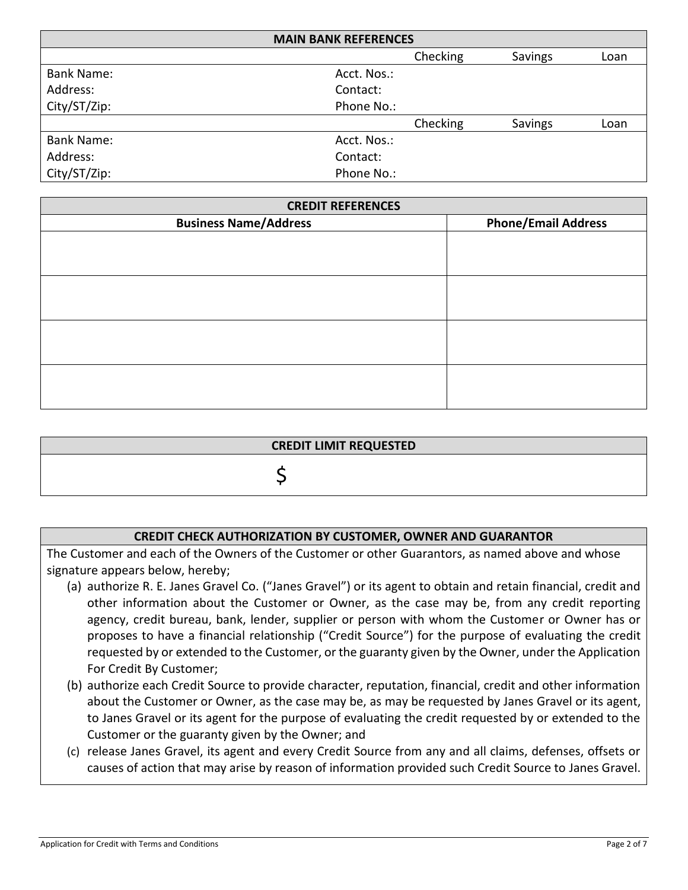| <b>MAIN BANK REFERENCES</b> |             |          |         |      |  |
|-----------------------------|-------------|----------|---------|------|--|
|                             |             | Checking | Savings | Loan |  |
| <b>Bank Name:</b>           | Acct. Nos.: |          |         |      |  |
| Address:                    | Contact:    |          |         |      |  |
| City/ST/Zip:                | Phone No.:  |          |         |      |  |
|                             |             | Checking | Savings | Loan |  |
| <b>Bank Name:</b>           | Acct. Nos.: |          |         |      |  |
| Address:                    | Contact:    |          |         |      |  |
| City/ST/Zip:                | Phone No.:  |          |         |      |  |

| <b>CREDIT REFERENCES</b>     |                            |  |  |
|------------------------------|----------------------------|--|--|
| <b>Business Name/Address</b> | <b>Phone/Email Address</b> |  |  |
|                              |                            |  |  |
|                              |                            |  |  |
|                              |                            |  |  |
|                              |                            |  |  |
|                              |                            |  |  |
|                              |                            |  |  |
|                              |                            |  |  |
|                              |                            |  |  |
|                              |                            |  |  |
|                              |                            |  |  |
|                              |                            |  |  |

| <b>CREDIT LIMIT REQUESTED</b> |  |
|-------------------------------|--|
|                               |  |

#### **CREDIT CHECK AUTHORIZATION BY CUSTOMER, OWNER AND GUARANTOR**

The Customer and each of the Owners of the Customer or other Guarantors, as named above and whose signature appears below, hereby;

- (a) authorize R. E. Janes Gravel Co. ("Janes Gravel") or its agent to obtain and retain financial, credit and other information about the Customer or Owner, as the case may be, from any credit reporting agency, credit bureau, bank, lender, supplier or person with whom the Customer or Owner has or proposes to have a financial relationship ("Credit Source") for the purpose of evaluating the credit requested by or extended to the Customer, or the guaranty given by the Owner, under the Application For Credit By Customer;
- (b) authorize each Credit Source to provide character, reputation, financial, credit and other information about the Customer or Owner, as the case may be, as may be requested by Janes Gravel or its agent, to Janes Gravel or its agent for the purpose of evaluating the credit requested by or extended to the Customer or the guaranty given by the Owner; and
- (c) release Janes Gravel, its agent and every Credit Source from any and all claims, defenses, offsets or causes of action that may arise by reason of information provided such Credit Source to Janes Gravel.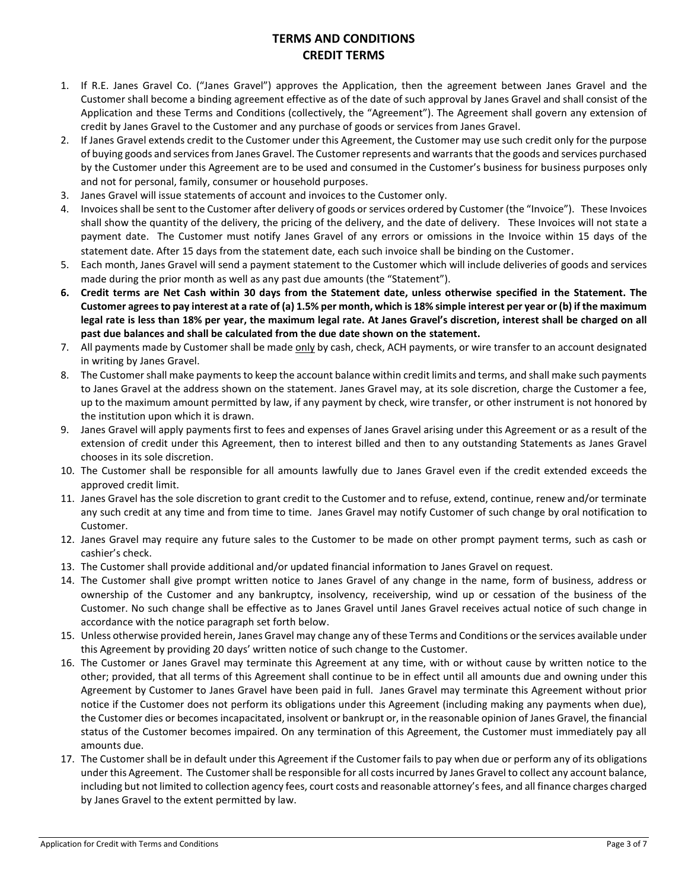# **TERMS AND CONDITIONS CREDIT TERMS**

- 1. If R.E. Janes Gravel Co. ("Janes Gravel") approves the Application, then the agreement between Janes Gravel and the Customer shall become a binding agreement effective as of the date of such approval by Janes Gravel and shall consist of the Application and these Terms and Conditions (collectively, the "Agreement"). The Agreement shall govern any extension of credit by Janes Gravel to the Customer and any purchase of goods or services from Janes Gravel.
- 2. If Janes Gravel extends credit to the Customer under this Agreement, the Customer may use such credit only for the purpose of buying goods and services from Janes Gravel. The Customer represents and warrants that the goods and services purchased by the Customer under this Agreement are to be used and consumed in the Customer's business for business purposes only and not for personal, family, consumer or household purposes.
- 3. Janes Gravel will issue statements of account and invoices to the Customer only.
- 4. Invoices shall be sent to the Customer after delivery of goods or services ordered by Customer (the "Invoice"). These Invoices shall show the quantity of the delivery, the pricing of the delivery, and the date of delivery. These Invoices will not state a payment date. The Customer must notify Janes Gravel of any errors or omissions in the Invoice within 15 days of the statement date. After 15 days from the statement date, each such invoice shall be binding on the Customer.
- 5. Each month, Janes Gravel will send a payment statement to the Customer which will include deliveries of goods and services made during the prior month as well as any past due amounts (the "Statement").
- **6. Credit terms are Net Cash within 30 days from the Statement date, unless otherwise specified in the Statement. The Customer agrees to pay interest at a rate of (a) 1.5% per month, which is 18% simple interest per year or (b) if the maximum legal rate is less than 18% per year, the maximum legal rate. At Janes Gravel's discretion, interest shall be charged on all past due balances and shall be calculated from the due date shown on the statement.**
- 7. All payments made by Customer shall be made only by cash, check, ACH payments, or wire transfer to an account designated in writing by Janes Gravel.
- 8. The Customer shall make payments to keep the account balance within credit limits and terms, and shall make such payments to Janes Gravel at the address shown on the statement. Janes Gravel may, at its sole discretion, charge the Customer a fee, up to the maximum amount permitted by law, if any payment by check, wire transfer, or other instrument is not honored by the institution upon which it is drawn.
- 9. Janes Gravel will apply payments first to fees and expenses of Janes Gravel arising under this Agreement or as a result of the extension of credit under this Agreement, then to interest billed and then to any outstanding Statements as Janes Gravel chooses in its sole discretion.
- 10. The Customer shall be responsible for all amounts lawfully due to Janes Gravel even if the credit extended exceeds the approved credit limit.
- 11. Janes Gravel has the sole discretion to grant credit to the Customer and to refuse, extend, continue, renew and/or terminate any such credit at any time and from time to time. Janes Gravel may notify Customer of such change by oral notification to Customer.
- 12. Janes Gravel may require any future sales to the Customer to be made on other prompt payment terms, such as cash or cashier's check.
- 13. The Customer shall provide additional and/or updated financial information to Janes Gravel on request.
- 14. The Customer shall give prompt written notice to Janes Gravel of any change in the name, form of business, address or ownership of the Customer and any bankruptcy, insolvency, receivership, wind up or cessation of the business of the Customer. No such change shall be effective as to Janes Gravel until Janes Gravel receives actual notice of such change in accordance with the notice paragraph set forth below.
- 15. Unless otherwise provided herein, Janes Gravel may change any of these Terms and Conditions or the services available under this Agreement by providing 20 days' written notice of such change to the Customer.
- 16. The Customer or Janes Gravel may terminate this Agreement at any time, with or without cause by written notice to the other; provided, that all terms of this Agreement shall continue to be in effect until all amounts due and owning under this Agreement by Customer to Janes Gravel have been paid in full. Janes Gravel may terminate this Agreement without prior notice if the Customer does not perform its obligations under this Agreement (including making any payments when due), the Customer dies or becomes incapacitated, insolvent or bankrupt or, in the reasonable opinion of Janes Gravel, the financial status of the Customer becomes impaired. On any termination of this Agreement, the Customer must immediately pay all amounts due.
- 17. The Customer shall be in default under this Agreement if the Customer fails to pay when due or perform any of its obligations under this Agreement. The Customer shall be responsible for all costs incurred by Janes Gravel to collect any account balance, including but not limited to collection agency fees, court costs and reasonable attorney's fees, and all finance charges charged by Janes Gravel to the extent permitted by law.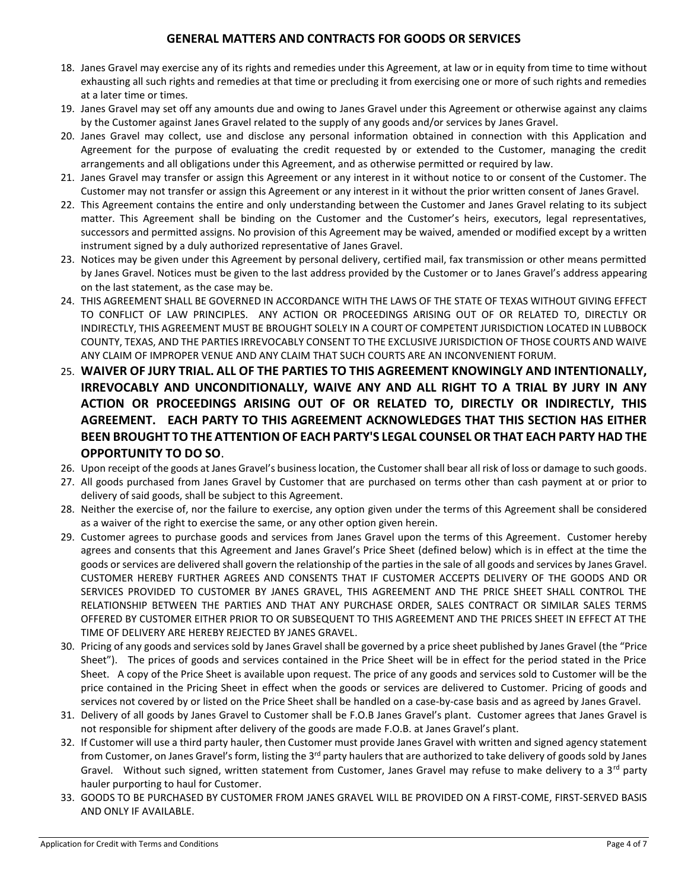#### **GENERAL MATTERS AND CONTRACTS FOR GOODS OR SERVICES**

- 18. Janes Gravel may exercise any of its rights and remedies under this Agreement, at law or in equity from time to time without exhausting all such rights and remedies at that time or precluding it from exercising one or more of such rights and remedies at a later time or times.
- 19. Janes Gravel may set off any amounts due and owing to Janes Gravel under this Agreement or otherwise against any claims by the Customer against Janes Gravel related to the supply of any goods and/or services by Janes Gravel.
- 20. Janes Gravel may collect, use and disclose any personal information obtained in connection with this Application and Agreement for the purpose of evaluating the credit requested by or extended to the Customer, managing the credit arrangements and all obligations under this Agreement, and as otherwise permitted or required by law.
- 21. Janes Gravel may transfer or assign this Agreement or any interest in it without notice to or consent of the Customer. The Customer may not transfer or assign this Agreement or any interest in it without the prior written consent of Janes Gravel.
- 22. This Agreement contains the entire and only understanding between the Customer and Janes Gravel relating to its subject matter. This Agreement shall be binding on the Customer and the Customer's heirs, executors, legal representatives, successors and permitted assigns. No provision of this Agreement may be waived, amended or modified except by a written instrument signed by a duly authorized representative of Janes Gravel.
- 23. Notices may be given under this Agreement by personal delivery, certified mail, fax transmission or other means permitted by Janes Gravel. Notices must be given to the last address provided by the Customer or to Janes Gravel's address appearing on the last statement, as the case may be.
- 24. THIS AGREEMENT SHALL BE GOVERNED IN ACCORDANCE WITH THE LAWS OF THE STATE OF TEXAS WITHOUT GIVING EFFECT TO CONFLICT OF LAW PRINCIPLES. ANY ACTION OR PROCEEDINGS ARISING OUT OF OR RELATED TO, DIRECTLY OR INDIRECTLY, THIS AGREEMENT MUST BE BROUGHT SOLELY IN A COURT OF COMPETENT JURISDICTION LOCATED IN LUBBOCK COUNTY, TEXAS, AND THE PARTIES IRREVOCABLY CONSENT TO THE EXCLUSIVE JURISDICTION OF THOSE COURTS AND WAIVE ANY CLAIM OF IMPROPER VENUE AND ANY CLAIM THAT SUCH COURTS ARE AN INCONVENIENT FORUM.
- 25. **WAIVER OF JURY TRIAL. ALL OF THE PARTIES TO THIS AGREEMENT KNOWINGLY AND INTENTIONALLY, IRREVOCABLY AND UNCONDITIONALLY, WAIVE ANY AND ALL RIGHT TO A TRIAL BY JURY IN ANY ACTION OR PROCEEDINGS ARISING OUT OF OR RELATED TO, DIRECTLY OR INDIRECTLY, THIS AGREEMENT. EACH PARTY TO THIS AGREEMENT ACKNOWLEDGES THAT THIS SECTION HAS EITHER BEEN BROUGHT TO THE ATTENTION OF EACH PARTY'S LEGAL COUNSEL OR THAT EACH PARTY HAD THE OPPORTUNITY TO DO SO**.
- 26. Upon receipt of the goods at Janes Gravel's business location, the Customer shall bear all risk of loss or damage to such goods.
- 27. All goods purchased from Janes Gravel by Customer that are purchased on terms other than cash payment at or prior to delivery of said goods, shall be subject to this Agreement.
- 28. Neither the exercise of, nor the failure to exercise, any option given under the terms of this Agreement shall be considered as a waiver of the right to exercise the same, or any other option given herein.
- 29. Customer agrees to purchase goods and services from Janes Gravel upon the terms of this Agreement. Customer hereby agrees and consents that this Agreement and Janes Gravel's Price Sheet (defined below) which is in effect at the time the goods or services are delivered shall govern the relationship of the parties in the sale of all goods and services by Janes Gravel. CUSTOMER HEREBY FURTHER AGREES AND CONSENTS THAT IF CUSTOMER ACCEPTS DELIVERY OF THE GOODS AND OR SERVICES PROVIDED TO CUSTOMER BY JANES GRAVEL, THIS AGREEMENT AND THE PRICE SHEET SHALL CONTROL THE RELATIONSHIP BETWEEN THE PARTIES AND THAT ANY PURCHASE ORDER, SALES CONTRACT OR SIMILAR SALES TERMS OFFERED BY CUSTOMER EITHER PRIOR TO OR SUBSEQUENT TO THIS AGREEMENT AND THE PRICES SHEET IN EFFECT AT THE TIME OF DELIVERY ARE HEREBY REJECTED BY JANES GRAVEL.
- 30. Pricing of any goods and services sold by Janes Gravel shall be governed by a price sheet published by Janes Gravel (the "Price Sheet"). The prices of goods and services contained in the Price Sheet will be in effect for the period stated in the Price Sheet. A copy of the Price Sheet is available upon request. The price of any goods and services sold to Customer will be the price contained in the Pricing Sheet in effect when the goods or services are delivered to Customer. Pricing of goods and services not covered by or listed on the Price Sheet shall be handled on a case-by-case basis and as agreed by Janes Gravel.
- 31. Delivery of all goods by Janes Gravel to Customer shall be F.O.B Janes Gravel's plant. Customer agrees that Janes Gravel is not responsible for shipment after delivery of the goods are made F.O.B. at Janes Gravel's plant.
- 32. If Customer will use a third party hauler, then Customer must provide Janes Gravel with written and signed agency statement from Customer, on Janes Gravel's form, listing the 3<sup>rd</sup> party haulers that are authorized to take delivery of goods sold by Janes Gravel. Without such signed, written statement from Customer, Janes Gravel may refuse to make delivery to a 3<sup>rd</sup> party hauler purporting to haul for Customer.
- 33. GOODS TO BE PURCHASED BY CUSTOMER FROM JANES GRAVEL WILL BE PROVIDED ON A FIRST-COME, FIRST-SERVED BASIS AND ONLY IF AVAILABLE.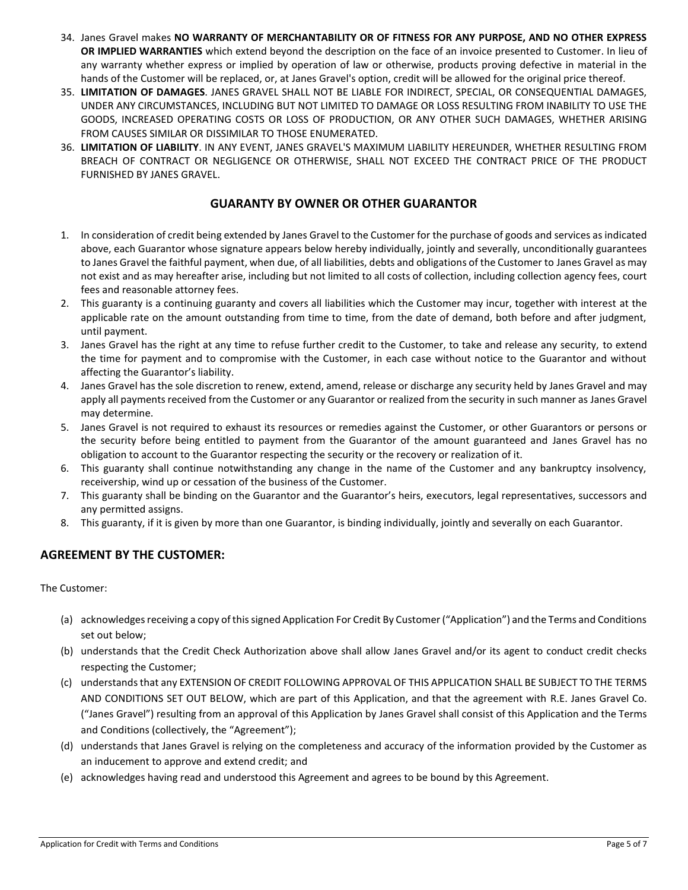- 34. Janes Gravel makes **NO WARRANTY OF MERCHANTABILITY OR OF FITNESS FOR ANY PURPOSE, AND NO OTHER EXPRESS OR IMPLIED WARRANTIES** which extend beyond the description on the face of an invoice presented to Customer. In lieu of any warranty whether express or implied by operation of law or otherwise, products proving defective in material in the hands of the Customer will be replaced, or, at Janes Gravel's option, credit will be allowed for the original price thereof.
- 35. **LIMITATION OF DAMAGES**. JANES GRAVEL SHALL NOT BE LIABLE FOR INDIRECT, SPECIAL, OR CONSEQUENTIAL DAMAGES, UNDER ANY CIRCUMSTANCES, INCLUDING BUT NOT LIMITED TO DAMAGE OR LOSS RESULTING FROM INABILITY TO USE THE GOODS, INCREASED OPERATING COSTS OR LOSS OF PRODUCTION, OR ANY OTHER SUCH DAMAGES, WHETHER ARISING FROM CAUSES SIMILAR OR DISSIMILAR TO THOSE ENUMERATED.
- 36. **LIMITATION OF LIABILITY**. IN ANY EVENT, JANES GRAVEL'S MAXIMUM LIABILITY HEREUNDER, WHETHER RESULTING FROM BREACH OF CONTRACT OR NEGLIGENCE OR OTHERWISE, SHALL NOT EXCEED THE CONTRACT PRICE OF THE PRODUCT FURNISHED BY JANES GRAVEL.

#### **GUARANTY BY OWNER OR OTHER GUARANTOR**

- 1. In consideration of credit being extended by Janes Gravel to the Customer for the purchase of goods and services as indicated above, each Guarantor whose signature appears below hereby individually, jointly and severally, unconditionally guarantees to Janes Gravel the faithful payment, when due, of all liabilities, debts and obligations of the Customer to Janes Gravel as may not exist and as may hereafter arise, including but not limited to all costs of collection, including collection agency fees, court fees and reasonable attorney fees.
- 2. This guaranty is a continuing guaranty and covers all liabilities which the Customer may incur, together with interest at the applicable rate on the amount outstanding from time to time, from the date of demand, both before and after judgment, until payment.
- 3. Janes Gravel has the right at any time to refuse further credit to the Customer, to take and release any security, to extend the time for payment and to compromise with the Customer, in each case without notice to the Guarantor and without affecting the Guarantor's liability.
- 4. Janes Gravel has the sole discretion to renew, extend, amend, release or discharge any security held by Janes Gravel and may apply all payments received from the Customer or any Guarantor or realized from the security in such manner as Janes Gravel may determine.
- 5. Janes Gravel is not required to exhaust its resources or remedies against the Customer, or other Guarantors or persons or the security before being entitled to payment from the Guarantor of the amount guaranteed and Janes Gravel has no obligation to account to the Guarantor respecting the security or the recovery or realization of it.
- 6. This guaranty shall continue notwithstanding any change in the name of the Customer and any bankruptcy insolvency, receivership, wind up or cessation of the business of the Customer.
- 7. This guaranty shall be binding on the Guarantor and the Guarantor's heirs, executors, legal representatives, successors and any permitted assigns.
- 8. This guaranty, if it is given by more than one Guarantor, is binding individually, jointly and severally on each Guarantor.

### **AGREEMENT BY THE CUSTOMER:**

The Customer:

- (a) acknowledges receiving a copy of this signed Application For Credit By Customer ("Application") and the Terms and Conditions set out below;
- (b) understands that the Credit Check Authorization above shall allow Janes Gravel and/or its agent to conduct credit checks respecting the Customer;
- (c) understandsthat any EXTENSION OF CREDIT FOLLOWING APPROVAL OF THIS APPLICATION SHALL BE SUBJECT TO THE TERMS AND CONDITIONS SET OUT BELOW, which are part of this Application, and that the agreement with R.E. Janes Gravel Co. ("Janes Gravel") resulting from an approval of this Application by Janes Gravel shall consist of this Application and the Terms and Conditions (collectively, the "Agreement");
- (d) understands that Janes Gravel is relying on the completeness and accuracy of the information provided by the Customer as an inducement to approve and extend credit; and
- (e) acknowledges having read and understood this Agreement and agrees to be bound by this Agreement.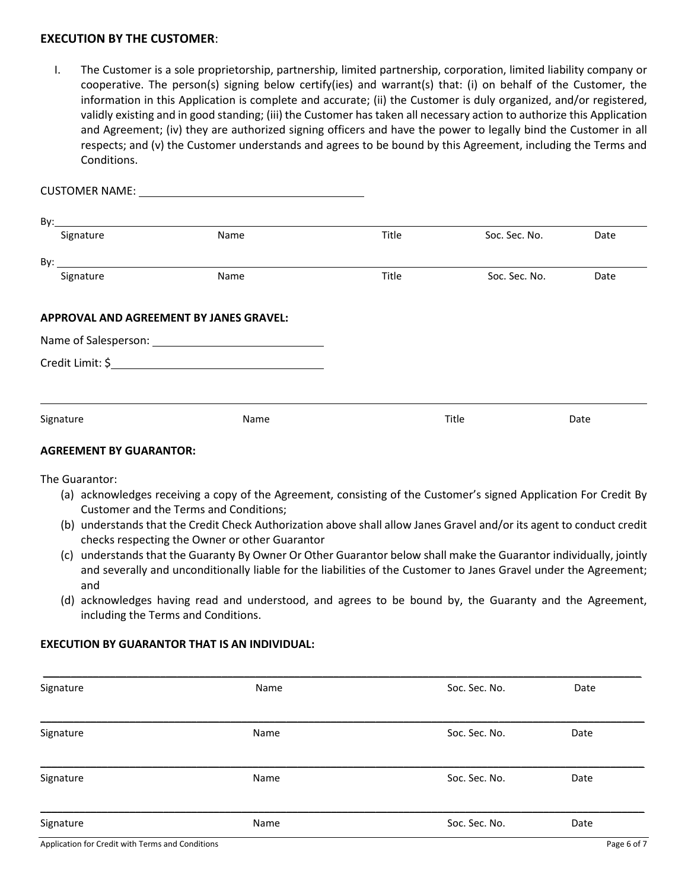#### **EXECUTION BY THE CUSTOMER**:

I. The Customer is a sole proprietorship, partnership, limited partnership, corporation, limited liability company or cooperative. The person(s) signing below certify(ies) and warrant(s) that: (i) on behalf of the Customer, the information in this Application is complete and accurate; (ii) the Customer is duly organized, and/or registered, validly existing and in good standing; (iii) the Customer has taken all necessary action to authorize this Application and Agreement; (iv) they are authorized signing officers and have the power to legally bind the Customer in all respects; and (v) the Customer understands and agrees to be bound by this Agreement, including the Terms and Conditions.

| Signature | Name                                    | Title | Soc. Sec. No. | Date |
|-----------|-----------------------------------------|-------|---------------|------|
|           |                                         |       |               |      |
| Signature | Name                                    | Title | Soc. Sec. No. | Date |
|           | APPROVAL AND AGREEMENT BY JANES GRAVEL: |       |               |      |
|           |                                         |       |               |      |
|           |                                         |       |               |      |
|           |                                         |       |               |      |
|           |                                         |       |               |      |
| Signature | Name                                    |       | Title         | Date |
|           |                                         |       |               |      |

#### **AGREEMENT BY GUARANTOR:**

The Guarantor:

- (a) acknowledges receiving a copy of the Agreement, consisting of the Customer's signed Application For Credit By Customer and the Terms and Conditions;
- (b) understands that the Credit Check Authorization above shall allow Janes Gravel and/or its agent to conduct credit checks respecting the Owner or other Guarantor
- (c) understands that the Guaranty By Owner Or Other Guarantor below shall make the Guarantor individually, jointly and severally and unconditionally liable for the liabilities of the Customer to Janes Gravel under the Agreement; and
- (d) acknowledges having read and understood, and agrees to be bound by, the Guaranty and the Agreement, including the Terms and Conditions.

#### **EXECUTION BY GUARANTOR THAT IS AN INDIVIDUAL:**

| Signature | Name | Soc. Sec. No. | Date |
|-----------|------|---------------|------|
| Signature | Name | Soc. Sec. No. | Date |
| Signature | Name | Soc. Sec. No. | Date |
| Signature | Name | Soc. Sec. No. | Date |